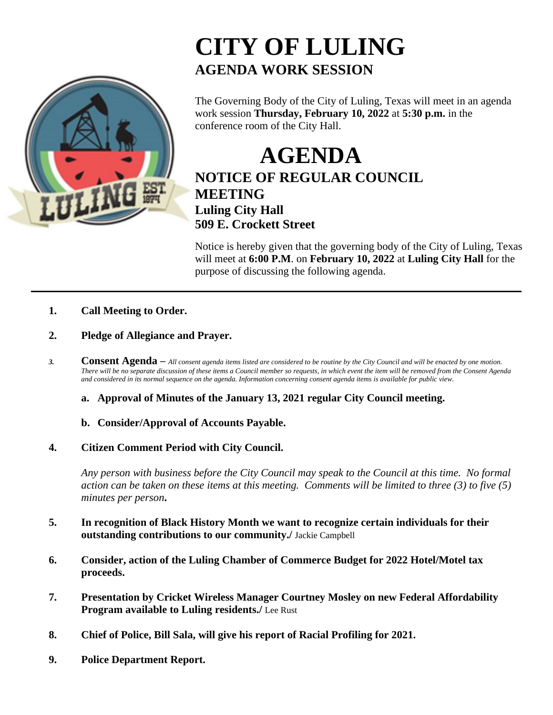

## **CITY OF LULING AGENDA WORK SESSION**

The Governing Body of the City of Luling, Texas will meet in an agenda work session **Thursday, February 10, 2022** at **5:30 p.m.** in the conference room of the City Hall.

**AGENDA NOTICE OF REGULAR COUNCIL MEETING Luling City Hall 509 E. Crockett Street**

Notice is hereby given that the governing body of the City of Luling, Texas will meet at **6:00 P.M**. on **February 10, 2022** at **Luling City Hall** for the purpose of discussing the following agenda.

- **1. Call Meeting to Order.**
- **2. Pledge of Allegiance and Prayer.**
- *3.* **Consent Agenda –** *All consent agenda items listed are considered to be routine by the City Council and will be enacted by one motion. There will be no separate discussion of these items a Council member so requests, in which event the item will be removed from the Consent Agenda and considered in its normal sequence on the agenda. Information concerning consent agenda items is available for public view.*
	- **a. Approval of Minutes of the January 13, 2021 regular City Council meeting.**
	- **b. Consider/Approval of Accounts Payable.**
- **4. Citizen Comment Period with City Council.**

*Any person with business before the City Council may speak to the Council at this time. No formal action can be taken on these items at this meeting. Comments will be limited to three (3) to five (5) minutes per person***.**

- **5. In recognition of Black History Month we want to recognize certain individuals for their outstanding contributions to our community./** Jackie Campbell
- **6. Consider, action of the Luling Chamber of Commerce Budget for 2022 Hotel/Motel tax proceeds.**
- **7. Presentation by Cricket Wireless Manager Courtney Mosley on new Federal Affordability Program available to Luling residents./** Lee Rust
- **8. Chief of Police, Bill Sala, will give his report of Racial Profiling for 2021.**
- **9. Police Department Report.**